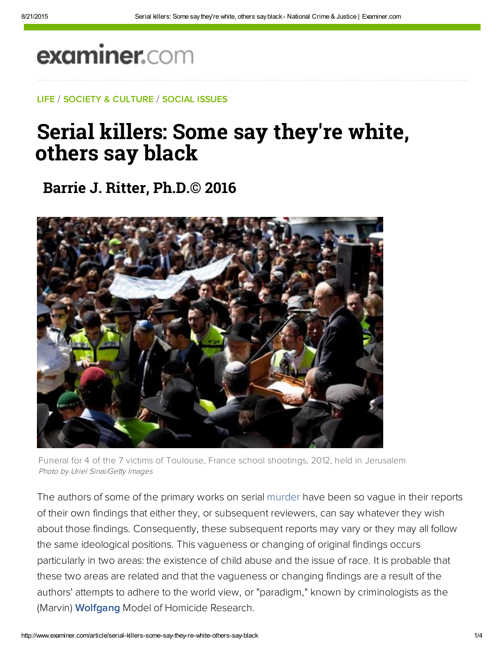## examiner.com

LIFE / SOCIETY & CULTURE / SOCIAL ISSUES

## Serial killers: Some say they're white, others say black

**Barrie J. Ritter, Ph.D.© 2016**



Funeral for 4 of the 7 victims of Toulouse, France school shootings, 2012, held in Jerusalem Photo by Uriel Sinai/Getty Images

The authors of some of the primary works on serial murder have been so vague in their reports of their own findings that either they, or subsequent reviewers, can say whatever they wish about those findings. Consequently, these subsequent reports may vary or they may all follow the same ideological positions. This vagueness or changing of original findings occurs particularly in two areas: the existence of child abuse and the issue of race. It is probable that these two areas are related and that the vagueness or changing findings are a result of the authors' attempts to adhere to the world view, or "paradigm," known by criminologists as the [\(Marvin\) Wolfgang](https://en.wikipedia.org/wiki/Marvin_Wolfgang) Model of Homicide Research.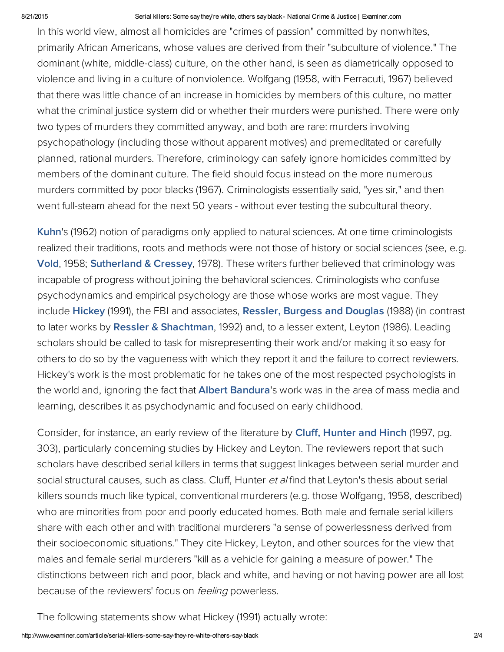## 8/21/2015 Serial killers: Some saythey're white, others sayblack National Crime & Justice | Examiner.com

In this world view, almost all homicides are "crimes of passion" committed by nonwhites, primarily African Americans, whose values are derived from their "subculture of violence." The dominant (white, middle-class) culture, on the other hand, is seen as diametrically opposed to violence and living in a culture of nonviolence. Wolfgang (1958, with Ferracuti, 1967) believed that there was little chance of an increase in homicides by members of this culture, no matter what the criminal justice system did or whether their murders were punished. There were only two types of murders they committed anyway, and both are rare: murders involving psychopathology (including those without apparent motives) and premeditated or carefully planned, rational murders. Therefore, criminology can safely ignore homicides committed by members of the dominant culture. The field should focus instead on the more numerous murders committed by poor blacks (1967). Criminologists essentially said, "yes sir," and then went full-steam ahead for the next 50 years - without ever testing the subcultural theory.

[Kuhn](http://bit.ly/1dr9nBK)'s (1962) notion of paradigms only applied to natural sciences. At one time criminologists realized their traditions, roots and methods were not those of history or social sciences (see, e.g. [Vold](http://bit.ly/19qHo41), 1958; [Sutherland](https://books.google.com/books?id=wqRQqXKuU7sC&printsec=frontcover&dq=sutherland+and+cressey+1978&hl=en&sa=X&ved=0ahUKEwjBkYqLud7PAhWJ6IMKHaR6CIcQ6AEIJTAA#v=onepage&q=sutherland%20and%20cressey%201978&f=false) & Cressey, 1978). These writers further believed that criminology was incapable of progress without joining the behavioral sciences. Criminologists who confuse psychodynamics and empirical psychology are those whose works are most vague. They include [Hickey](http://bit.ly/1d24FnU) (1991), the FBI and associates, Ressler, [Burgess](http://amzn.to/1m3WQ6w) and Douglas (1988) (in contrast to later works by Ressler & [Shachtman,](http://bit.ly/1akhQkk) 1992) and, to a lesser extent, Leyton (1986). Leading scholars should be called to task for misrepresenting their work and/or making it so easy for others to do so by the vagueness with which they report it and the failure to correct reviewers. Hickey's work is the most problematic for he takes one of the most respected psychologists in the world and, ignoring the fact that **Albert [Bandura](http://bit.ly/1d36ep4)'**s work was in the area of mass media and learning, describes it as psychodynamic and focused on early childhood.

Consider, for instance, an early review of the literature by Cluff, [Hunter](http://bit.ly/KfYIg6) and Hinch (1997, pg. 303), particularly concerning studies by Hickey and Leyton. The reviewers report that such scholars have described serial killers in terms that suggest linkages between serial murder and social structural causes, such as class. Cluff, Hunter et al find that Leyton's thesis about serial killers sounds much like typical, conventional murderers (e.g. those Wolfgang, 1958, described) who are minorities from poor and poorly educated homes. Both male and female serial killers share with each other and with traditional murderers "a sense of powerlessness derived from their socioeconomic situations." They cite Hickey, Leyton, and other sources for the view that males and female serial murderers "kill as a vehicle for gaining a measure of power." The distinctions between rich and poor, black and white, and having or not having power are all lost because of the reviewers' focus on *feeling* powerless.

The following statements show what Hickey (1991) actually wrote: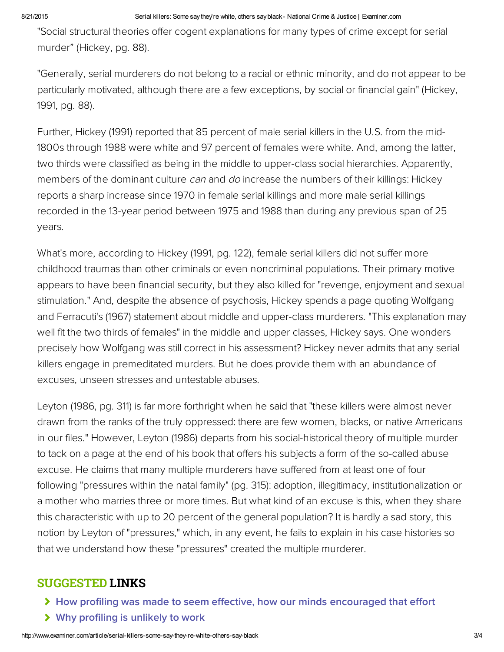"Social structural theories offer cogent explanations for many types of crime except for serial murder" (Hickey, pg. 88).

"Generally, serial murderers do not belong to a racial or ethnic minority, and do not appear to be particularly motivated, although there are a few exceptions, by social or financial gain" (Hickey, 1991, pg. 88).

Further, Hickey (1991) reported that 85 percent of male serial killers in the U.S. from the mid-1800s through 1988 were white and 97 percent of females were white. And, among the latter, two thirds were classified as being in the middle to upper-class social hierarchies. Apparently, members of the dominant culture can and do increase the numbers of their killings: Hickey reports a sharp increase since 1970 in female serial killings and more male serial killings recorded in the 13-year period between 1975 and 1988 than during any previous span of 25 years.

What's more, according to Hickey (1991, pg. 122), female serial killers did not suffer more childhood traumas than other criminals or even noncriminal populations. Their primary motive appears to have been financial security, but they also killed for "revenge, enjoyment and sexual stimulation." And, despite the absence of psychosis, Hickey spends a page quoting Wolfgang and Ferracuti's (1967) statement about middle and upper-class murderers. "This explanation may well fit the two thirds of females" in the middle and upper classes, Hickey says. One wonders precisely how Wolfgang was still correct in his assessment? Hickey never admits that any serial killers engage in premeditated murders. But he does provide them with an abundance of excuses, unseen stresses and untestable abuses.

Leyton (1986, pg. 311) is far more forthright when he said that "these killers were almost never drawn from the ranks of the truly oppressed: there are few women, blacks, or native Americans in our files." However, Leyton (1986) departs from his social-historical theory of multiple murder to tack on a page at the end of his book that offers his subjects a form of the so-called abuse excuse. He claims that many multiple murderers have suffered from at least one of four following "pressures within the natal family" (pg. 315): adoption, illegitimacy, institutionalization or a mother who marries three or more times. But what kind of an excuse is this, when they share this characteristic with up to 20 percent of the general population? It is hardly a sad story, this notion by Leyton of "pressures," which, in any event, he fails to explain in his case histories so that we understand how these "pressures" created the multiple murderer.

## SUGGESTED LINKS

- **▶ [How profiling was made to seem effective, how our minds encouraged that effort](www.ritterhomicideresearch.com/articles/How-profiling-was-made-to-seem-effective.pdf)**
- [Why profiling is unlikely to work](www.ritterhomicideresearch.com/articles/Why-criminal-profiling-is-unlikely-to-work.pdf)